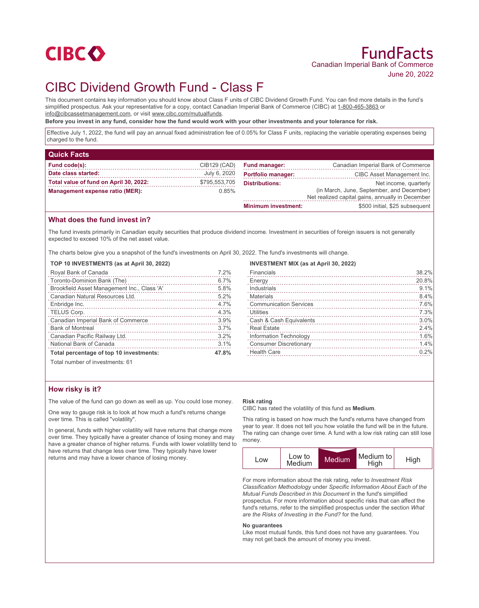

# CIBC Dividend Growth Fund - Class F

This document contains key information you should know about Class F units of CIBC Dividend Growth Fund. You can find more details in the fund's simplified prospectus. Ask your representative for a copy, contact Canadian Imperial Bank of Commerce (CIBC) at 1-800-465-3863 or info@cibcassetmanagement.com, or visit www.cibc.com/mutualfunds.

**Before you invest in any fund, consider how the fund would work with your other investments and your tolerance for risk.**

Effective July 1, 2022, the fund will pay an annual fixed administration fee of 0.05% for Class F units, replacing the variable operating expenses being charged to the fund.

| <b>Quick Facts</b>                     |               |                            |                                                  |
|----------------------------------------|---------------|----------------------------|--------------------------------------------------|
| Fund code(s):                          | CIB129 (CAD)  | <b>Fund manager:</b>       | Canadian Imperial Bank of Commerce               |
| Date class started:                    | July 6, 2020  | <b>Portfolio manager:</b>  | CIBC Asset Management Inc.                       |
| Total value of fund on April 30, 2022: | \$795,553,705 | <b>Distributions:</b>      | Net income, quarterly                            |
| Management expense ratio (MER):        | 0.85%         |                            | (in March, June, September, and December)        |
|                                        |               |                            | Net realized capital gains, annually in December |
|                                        |               | <b>Minimum investment:</b> | \$500 initial, \$25 subsequent                   |

## **What does the fund invest in?**

The fund invests primarily in Canadian equity securities that produce dividend income. Investment in securities of foreign issuers is not generally expected to exceed 10% of the net asset value.

The charts below give you a snapshot of the fund's investments on April 30, 2022. The fund's investments will change.

#### **TOP 10 INVESTMENTS (as at April 30, 2022)**

| Royal Bank of Canada                        | 7.2%  |
|---------------------------------------------|-------|
| Toronto-Dominion Bank (The)                 | 6.7%  |
| Brookfield Asset Management Inc., Class 'A' | 5.8%  |
| Canadian Natural Resources Ltd.             | 5.2%  |
| Enbridge Inc.                               | 4.7%  |
| TELUS Corp.                                 | 4.3%  |
| Canadian Imperial Bank of Commerce          | 3.9%  |
| <b>Bank of Montreal</b>                     | 3.7%  |
| Canadian Pacific Railway Ltd.               | 3.2%  |
| National Bank of Canada                     | 3.1%  |
| Total percentage of top 10 investments:     | 47.8% |
| Total number of invootmantar 61             |       |

#### **INVESTMENT MIX (as at April 30, 2022)**

| Financials                    | 38.2% |
|-------------------------------|-------|
| Energy                        | 20.8% |
| Industrials                   | 9.1%  |
| Materials                     | 8.4%  |
| <b>Communication Services</b> | 7.6%  |
| Utilities                     | 7.3%  |
| Cash & Cash Equivalents       | 3.0%  |
| <b>Real Estate</b>            | 2.4%  |
| Information Technology        | 1.6%  |
| <b>Consumer Discretionary</b> | 1.4%  |
| <b>Health Care</b>            | 0.2%  |
|                               |       |

Total number of investments: 61

## **How risky is it?**

The value of the fund can go down as well as up. You could lose money.

One way to gauge risk is to look at how much a fund's returns change over time. This is called "volatility".

In general, funds with higher volatility will have returns that change more over time. They typically have a greater chance of losing money and may have a greater chance of higher returns. Funds with lower volatility tend to have returns that change less over time. They typically have lower returns and may have a lower chance of losing money.

#### **Risk rating**

CIBC has rated the volatility of this fund as **Medium**.

This rating is based on how much the fund's returns have changed from year to year. It does not tell you how volatile the fund will be in the future. The rating can change over time. A fund with a low risk rating can still lose money.



For more information about the risk rating, refer to *Investment Risk Classification Methodology* under *Specific Information About Each of the Mutual Funds Described in this Document* in the fund's simplified prospectus. For more information about specific risks that can affect the fund's returns, refer to the simplified prospectus under the section *What are the Risks of Investing in the Fund?* for the fund.

#### **No guarantees**

Like most mutual funds, this fund does not have any guarantees. You may not get back the amount of money you invest.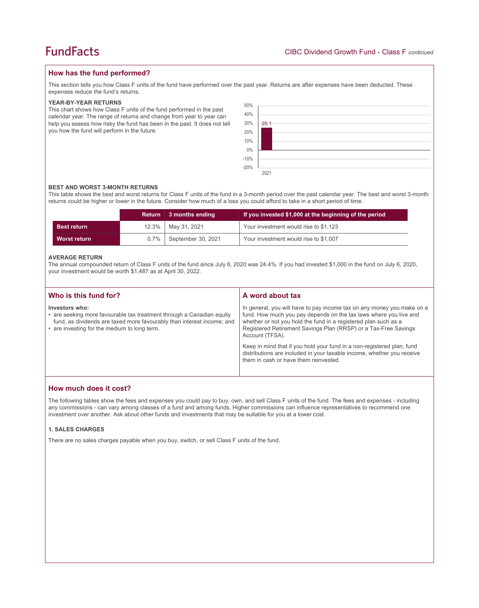# **How has the fund performed?**

This section tells you how Class F units of the fund have performed over the past year. Returns are after expenses have been deducted. These expenses reduce the fund's returns.

## **YEAR-BY-YEAR RETURNS**

This chart shows how Class F units of the fund performed in the past calendar year. The range of returns and change from year to year can help you assess how risky the fund has been in the past. It does not tell you how the fund will perform in the future.



### **BEST AND WORST 3-MONTH RETURNS**

This table shows the best and worst returns for Class F units of the fund in a 3-month period over the past calendar year. The best and worst 3-month returns could be higher or lower in the future. Consider how much of a loss you could afford to take in a short period of time.

|                    | <b>Return</b> | ∣ 3 months ending  | If you invested \$1,000 at the beginning of the period |
|--------------------|---------------|--------------------|--------------------------------------------------------|
| <b>Best return</b> | $12.3\%$      | May 31, 2021       | Your investment would rise to \$1,123                  |
| Worst return       | $0.7\%$       | September 30, 2021 | Your investment would rise to \$1,007                  |

### **AVERAGE RETURN**

The annual compounded return of Class F units of the fund since July 6, 2020 was 24.4%. If you had invested \$1,000 in the fund on July 6, 2020, your investment would be worth \$1,487 as at April 30, 2022.

| Who is this fund for?                                                                                                                                                                                             | A word about tax                                                                                                                                                                                                                                                                                     |
|-------------------------------------------------------------------------------------------------------------------------------------------------------------------------------------------------------------------|------------------------------------------------------------------------------------------------------------------------------------------------------------------------------------------------------------------------------------------------------------------------------------------------------|
| Investors who:<br>• are seeking more favourable tax treatment through a Canadian equity<br>fund, as dividends are taxed more favourably than interest income; and<br>• are investing for the medium to long term. | In general, you will have to pay income tax on any money you make on a<br>fund. How much you pay depends on the tax laws where you live and<br>whether or not you hold the fund in a registered plan such as a<br>Registered Retirement Savings Plan (RRSP) or a Tax-Free Savings<br>Account (TFSA). |
|                                                                                                                                                                                                                   | Keep in mind that if you hold your fund in a non-registered plan, fund<br>distributions are included in your taxable income, whether you receive<br>them in cash or have them reinvested.                                                                                                            |

# **How much does it cost?**

The following tables show the fees and expenses you could pay to buy, own, and sell Class F units of the fund. The fees and expenses - including any commissions - can vary among classes of a fund and among funds. Higher commissions can influence representatives to recommend one investment over another. Ask about other funds and investments that may be suitable for you at a lower cost.

## **1. SALES CHARGES**

There are no sales charges payable when you buy, switch, or sell Class F units of the fund.